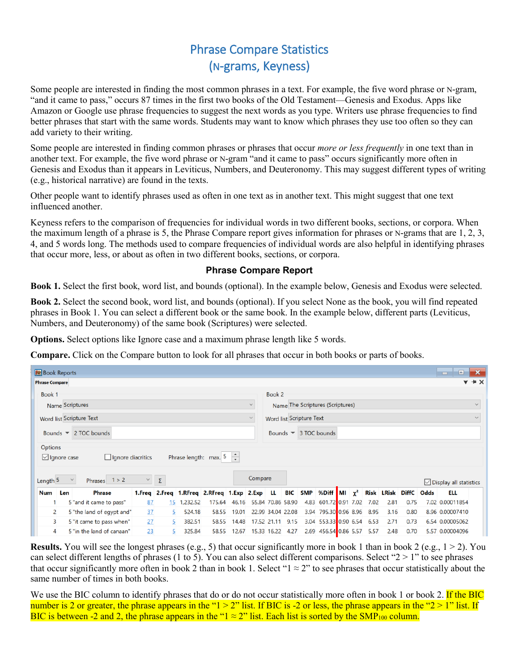# Phrase Compare Statistics (N-grams, Keyness)

Some people are interested in finding the most common phrases in a text. For example, the five word phrase or N-gram, "and it came to pass," occurs 87 times in the first two books of the Old Testament—Genesis and Exodus. Apps like Amazon or Google use phrase frequencies to suggest the next words as you type. Writers use phrase frequencies to find better phrases that start with the same words. Students may want to know which phrases they use too often so they can add variety to their writing.

Some people are interested in finding common phrases or phrases that occur *more or less frequently* in one text than in another text. For example, the five word phrase or N-gram "and it came to pass" occurs significantly more often in Genesis and Exodus than it appears in Leviticus, Numbers, and Deuteronomy. This may suggest different types of writing (e.g., historical narrative) are found in the texts.

Other people want to identify phrases used as often in one text as in another text. This might suggest that one text influenced another.

Keyness refers to the comparison of frequencies for individual words in two different books, sections, or corpora. When the maximum length of a phrase is 5, the Phrase Compare report gives information for phrases or N-grams that are 1, 2, 3, 4, and 5 words long. The methods used to compare frequencies of individual words are also helpful in identifying phrases that occur more, less, or about as often in two different books, sections, or corpora.

#### **Phrase Compare Report**

**Book 1.** Select the first book, word list, and bounds (optional). In the example below, Genesis and Exodus were selected.

**Book 2.** Select the second book, word list, and bounds (optional). If you select None as the book, you will find repeated phrases in Book 1. You can select a different book or the same book. In the example below, different parts (Leviticus, Numbers, and Deuteronomy) of the same book (Scriptures) were selected.

**Options.** Select options like Ignore case and a maximum phrase length like 5 words.

**Compare.** Click on the Compare button to look for all phrases that occur in both books or parts of books.

| <b>Book Reports</b>                                                               |                |                     |              |                          |            |  |                                           |  |                            |                         |      |      | o<br>$\Box$                                | $\mathbf x$  |
|-----------------------------------------------------------------------------------|----------------|---------------------|--------------|--------------------------|------------|--|-------------------------------------------|--|----------------------------|-------------------------|------|------|--------------------------------------------|--------------|
| <b>Phrase Compare</b>                                                             |                |                     |              |                          |            |  |                                           |  |                            |                         |      |      |                                            | $+x$         |
| Book 1                                                                            |                |                     |              | Book 2                   |            |  |                                           |  |                            |                         |      |      |                                            |              |
| <b>Name Scriptures</b>                                                            |                |                     | $\checkmark$ |                          |            |  | Name The Scriptures (Scriptures)          |  |                            |                         |      |      |                                            | $\checkmark$ |
| Word list Scripture Text                                                          |                |                     | $\checkmark$ | Word list Scripture Text |            |  |                                           |  |                            |                         |      |      |                                            | $\checkmark$ |
| 2 TOC bounds<br>Bounds $\blacktriangledown$                                       |                |                     |              |                          |            |  | Bounds $\blacktriangleright$ 3 TOC bounds |  |                            |                         |      |      |                                            |              |
| Options<br>Phrase length: max. $5\div$<br>$\Box$ Ignore case<br>Ignore diacritics |                |                     |              |                          |            |  |                                           |  |                            |                         |      |      |                                            |              |
| Phrases $1 > 2$<br>$\checkmark$<br>Length <sup>5</sup><br>$\checkmark$            | $\Sigma$       |                     | Compare      |                          |            |  |                                           |  |                            |                         |      |      | $\boxed{\triangle}$ Display all statistics |              |
| Num<br><b>Phrase</b><br>Len<br>1.Freq                                             | 2.Freq 1.RFreq | 2.RFreq 1.Exp 2.Exp |              | LL.                      | <b>BIC</b> |  | SMP %Diff $MI \chi^2$                     |  |                            | <b>Risk LRisk DiffC</b> |      | Odds | <b>ELL</b>                                 |              |
| 5 "and it came to pass"<br>87                                                     | 15 1,232.52    | 175.64<br>46.16     |              | 55.84 70.86 58.90        |            |  | 4.83 601.72 0.91 7.02                     |  | 7.02                       | 2.81                    | 0.75 |      | 7.02 0.00011854                            |              |
| $\overline{2}$<br>5 "the land of egypt and"<br>37                                 | 524.18<br>5    | 58.55<br>19.01      |              | 22.99 34.04 22.08        |            |  |                                           |  | 3.94 795.30 0.96 8.96 8.95 | 3.16                    | 0.80 |      | 8.96 0.00007410                            |              |
| 27<br>3<br>5" it came to pass when"                                               | 382.51<br>5.   | 58.55<br>14.48      |              | 17.52 21.11              | 9.15       |  | 3.04 553.33 0.90 6.54                     |  | 6.53                       | 2.71                    | 0.73 |      | 6.54 0.00005062                            |              |
| 5"in the land of canaan"<br>23<br>4                                               | 325.84<br>5.   | 58.55<br>12.67      |              | 15.33 16.22              | 4.27       |  | 2.69 456.54 0.86 5.57                     |  | 5.57                       | 2.48                    | 0.70 |      | 5.57 0.00004096                            |              |

**Results.** You will see the longest phrases (e.g., 5) that occur significantly more in book 1 than in book 2 (e.g.,  $1 > 2$ ). You can select different lengths of phrases (1 to 5). You can also select different comparisons. Select " $2 > 1$ " to see phrases that occur significantly more often in book 2 than in book 1. Select " $1 \approx 2$ " to see phrases that occur statistically about the same number of times in both books.

We use the BIC column to identify phrases that do or do not occur statistically more often in book 1 or book 2. If the BIC number is 2 or greater, the phrase appears in the " $1 > 2$ " list. If BIC is -2 or less, the phrase appears in the " $2 > 1$ " list. If BIC is between -2 and 2, the phrase appears in the "1  $\approx$  2" list. Each list is sorted by the SMP<sub>100</sub> column.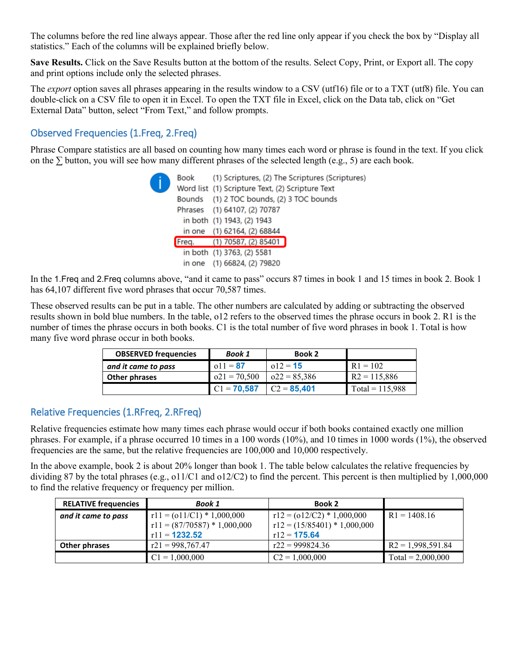The columns before the red line always appear. Those after the red line only appear if you check the box by "Display all statistics." Each of the columns will be explained briefly below.

**Save Results.** Click on the Save Results button at the bottom of the results. Select Copy, Print, or Export all. The copy and print options include only the selected phrases.

The *export* option saves all phrases appearing in the results window to a CSV (utf16) file or to a TXT (utf8) file. You can double-click on a CSV file to open it in Excel. To open the TXT file in Excel, click on the Data tab, click on "Get External Data" button, select "From Text," and follow prompts.

# Observed Frequencies (1.Freq, 2.Freq)

Phrase Compare statistics are all based on counting how many times each word or phrase is found in the text. If you click on the ∑ button, you will see how many different phrases of the selected length (e.g., 5) are each book.

| Book |  | (1) Scriptures, (2) The Scriptures (Scriptures)  |
|------|--|--------------------------------------------------|
|      |  | Word list (1) Scripture Text, (2) Scripture Text |
|      |  | Bounds (1) 2 TOC bounds, (2) 3 TOC bounds        |
|      |  | Phrases (1) 64107, (2) 70787                     |
|      |  | in both (1) 1943, (2) 1943                       |
|      |  | in one (1) 62164, (2) 68844                      |
|      |  | Freq. (1) 70587, (2) 85401                       |
|      |  | in both (1) 3763, (2) 5581                       |
|      |  | in one (1) 66824, (2) 79820                      |

In the 1.Freq and 2.Freq columns above, "and it came to pass" occurs 87 times in book 1 and 15 times in book 2. Book 1 has 64,107 different five word phrases that occur 70,587 times.

These observed results can be put in a table. The other numbers are calculated by adding or subtracting the observed results shown in bold blue numbers. In the table, o12 refers to the observed times the phrase occurs in book 2. R1 is the number of times the phrase occurs in both books. C1 is the total number of five word phrases in book 1. Total is how many five word phrase occur in both books.

| <b>OBSERVED frequencies</b> | Book 1         | <b>Book 2</b>  |                   |
|-----------------------------|----------------|----------------|-------------------|
| and it came to pass         | $011 = 87$     | $012 = 15$     | $R1 = 102$        |
| Other phrases               | $o21 = 70,500$ | $o22 = 85,386$ | $R2 = 115,886$    |
|                             | $Cl = 70.587$  | $C2 = 85,401$  | Total = $115,988$ |

# Relative Frequencies (1.RFreq, 2.RFreq)

Relative frequencies estimate how many times each phrase would occur if both books contained exactly one million phrases. For example, if a phrase occurred 10 times in a 100 words (10%), and 10 times in 1000 words (1%), the observed frequencies are the same, but the relative frequencies are 100,000 and 10,000 respectively.

In the above example, book 2 is about 20% longer than book 1. The table below calculates the relative frequencies by dividing 87 by the total phrases (e.g.,  $\frac{0.1}{C1}$  and  $\frac{0.1}{C2}$ ) to find the percent. This percent is then multiplied by 1,000,000 to find the relative frequency or frequency per million.

| <b>RELATIVE frequencies</b> | <b>Book 1</b>                  | Book 2                         |                     |
|-----------------------------|--------------------------------|--------------------------------|---------------------|
| and it came to pass         | $r11 = (o11/C1) * 1,000,000$   | $r12 = (o12/C2) * 1,000,000$   | $R1 = 1408.16$      |
|                             | $r11 = (87/70587) * 1,000,000$ | $r12 = (15/85401) * 1,000,000$ |                     |
|                             | $r11 = 1232.52$                | $r12 = 175.64$                 |                     |
| Other phrases               | $r21 = 998,767.47$             | $r22 = 999824.36$              | $R2 = 1,998,591.84$ |
|                             | $C1 = 1,000,000$               | $C2 = 1,000,000$               | Total = $2,000,000$ |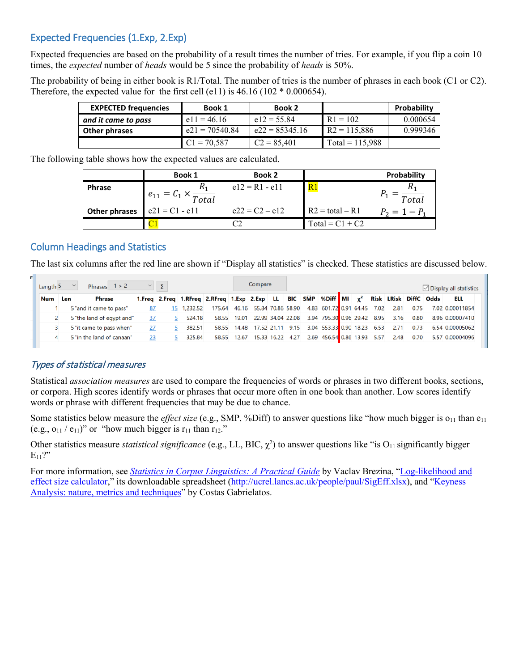# Expected Frequencies (1.Exp, 2.Exp)

Expected frequencies are based on the probability of a result times the number of tries. For example, if you flip a coin 10 times, the *expected* number of *heads* would be 5 since the probability of *heads* is 50%.

The probability of being in either book is R1/Total. The number of tries is the number of phrases in each book (C1 or C2). Therefore, the expected value for the first cell (e11) is  $46.16$  (102  $*$  0.000654).

| <b>EXPECTED frequencies</b> | Book 1           | <b>Book 2</b>       |                   | <b>Probability</b> |
|-----------------------------|------------------|---------------------|-------------------|--------------------|
| and it came to pass         | $e11 = 46.16$    | $e12 = 55.84$       | $R1 = 102$        | 0.000654           |
| <b>Other phrases</b>        | $e21 = 70540.84$ | $e^{22} = 85345.16$ | $R2 = 115,886$    | 0.999346           |
|                             | $C1 = 70.587$    | $C2 = 85,401$       | $Total = 115.988$ |                    |

The following table shows how the expected values are calculated.

|               | Book 1                                | Book 2                  |                   | Probability     |
|---------------|---------------------------------------|-------------------------|-------------------|-----------------|
| <b>Phrase</b> | $e_{11} = C_1 \times \frac{1}{Total}$ | $e12 = R1 - e11$        | R1                | Total           |
| Other phrases | $e^{21} = C1 - e^{11}$                | $e^{22} = C^2 - e^{12}$ | $R2 = total - R1$ | $P_2 = 1 - P_4$ |
|               |                                       |                         | $Total = C1 + C2$ |                 |

## Column Headings and Statistics

The last six columns after the red line are shown if "Display all statistics" is checked. These statistics are discussed below.

| Length <sup>5</sup> |     | Phrases $1 > 2$           | $\sim$ 5 |             |                                              |              | Compare           |             |      |                                                   |  |      |      |      | $\vee$ Display all statistics |
|---------------------|-----|---------------------------|----------|-------------|----------------------------------------------|--------------|-------------------|-------------|------|---------------------------------------------------|--|------|------|------|-------------------------------|
| <b>Num</b>          | Len | <b>Phrase</b>             |          |             | 1.Freq 2.Freq 1.RFreq 2.RFreq 1.Exp 2.Exp LL |              |                   |             |      | BIC SMP %Diff $MI \times^2$ Risk LRisk DiffC Odds |  |      |      |      | ELL                           |
|                     |     | 5 "and it came to pass"   | 87       | 15 1.232.52 |                                              | 175.64 46.16 | 55.84 70.86 58.90 |             |      | 4.83 601.72 0.91 64.45                            |  | 7.02 | 2.81 | 0.75 | 7.02 0.00011854               |
|                     |     | 5 "the land of egypt and" |          | 524.18      | 58.55                                        | 19.01        | 22.99 34.04 22.08 |             |      | 3.94 795.30 0.96 29.42 8.95                       |  |      | 3.16 | 0.80 | 8.96 0.00007410               |
|                     |     | 5" it came to pass when"  |          | 382.51      | 58.55                                        | 14.48        |                   | 17.52 21.11 | 9.15 | 3.04 553.33 0.90 18.23                            |  | 6.53 | 2.71 | 0.73 | 6.54 0.00005062               |
| 4                   |     | 5"in the land of canaan"  | 23       | 325.84      | 58.55                                        | 12.67        |                   | 15.33 16.22 | 4.27 | 2.69 456.54 0.86 13.93 5.57                       |  |      | 2.48 | 0.70 | 5.57 0.00004096               |

#### Types of statistical measures

Statistical *association measures* are used to compare the frequencies of words or phrases in two different books, sections, or corpora. High scores identify words or phrases that occur more often in one book than another. Low scores identify words or phrase with different frequencies that may be due to chance.

Some statistics below measure the *effect size* (e.g., SMP, %Diff) to answer questions like "how much bigger is o<sub>11</sub> than e<sub>11</sub> (e.g.,  $o_{11} / e_{11}$ )" or "how much bigger is  $r_{11}$  than  $r_{12}$ ."

Other statistics measure *statistical significance* (e.g., LL, BIC,  $\chi^2$ ) to answer questions like "is O<sub>11</sub> significantly bigger  $E_{11}$ ?"

For more information, see *[Statistics in Corpus Linguistics: A Practical Guide](https://www.amazon.com/Statistics-Corpus-Linguistics-Practical-Guide/dp/1107565243)* by Vaclav Brezina, ["Log-likelihood and](http://ucrel.lancs.ac.uk/llwizard.html)  [effect size calculator,](http://ucrel.lancs.ac.uk/llwizard.html)" its downloadable spreadsheet [\(http://ucrel.lancs.ac.uk/people/paul/SigEff.xlsx\)](http://ucrel.lancs.ac.uk/people/paul/SigEff.xlsx), and ["Keyness](https://research.edgehill.ac.uk/files/20078913/Gabrielatos.Keyness.postprint.pdf)  [Analysis: nature, metrics and techniques"](https://research.edgehill.ac.uk/files/20078913/Gabrielatos.Keyness.postprint.pdf) by Costas Gabrielatos.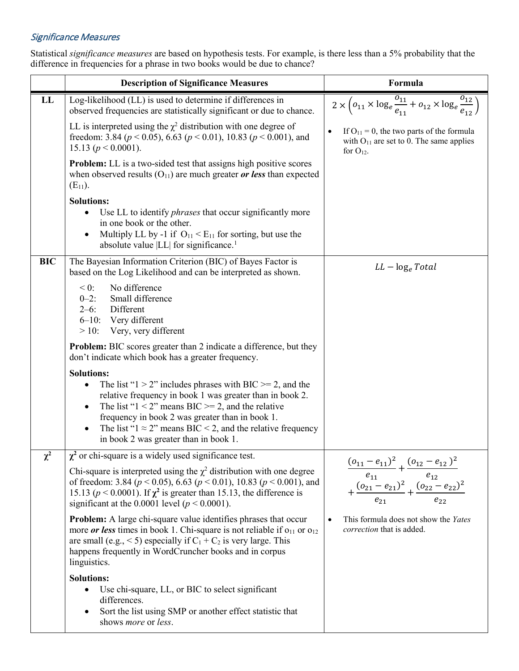## Significance Measures

Statistical *significance measures* are based on hypothesis tests. For example, is there less than a 5% probability that the difference in frequencies for a phrase in two books would be due to chance?

|              | <b>Description of Significance Measures</b>                                                                                                                                                                                                                                                                                                                                                      | Formula                                                                                                                                         |
|--------------|--------------------------------------------------------------------------------------------------------------------------------------------------------------------------------------------------------------------------------------------------------------------------------------------------------------------------------------------------------------------------------------------------|-------------------------------------------------------------------------------------------------------------------------------------------------|
| $\mathbf{L}$ | Log-likelihood (LL) is used to determine if differences in<br>observed frequencies are statistically significant or due to chance.                                                                                                                                                                                                                                                               | $2 \times (o_{11} \times \log_e \frac{o_{11}}{e_{11}} + o_{12} \times \log_e \frac{o_{12}}{e_{12}})$                                            |
|              | LL is interpreted using the $\chi^2$ distribution with one degree of<br>freedom: 3.84 ( $p < 0.05$ ), 6.63 ( $p < 0.01$ ), 10.83 ( $p < 0.001$ ), and<br>15.13 $(p < 0.0001)$ .                                                                                                                                                                                                                  | If $O_{11} = 0$ , the two parts of the formula<br>with $O_{11}$ are set to 0. The same applies<br>for $O_{12}$ .                                |
|              | <b>Problem:</b> LL is a two-sided test that assigns high positive scores<br>when observed results $(O_{11})$ are much greater <i>or less</i> than expected<br>$(E_{11})$ .                                                                                                                                                                                                                       |                                                                                                                                                 |
|              | <b>Solutions:</b><br>Use LL to identify <i>phrases</i> that occur significantly more<br>$\bullet$<br>in one book or the other.<br>Multiply LL by -1 if $O_{11} < E_{11}$ for sorting, but use the<br>absolute value $ LL $ for significance. <sup>1</sup>                                                                                                                                        |                                                                                                                                                 |
| <b>BIC</b>   | The Bayesian Information Criterion (BIC) of Bayes Factor is<br>based on the Log Likelihood and can be interpreted as shown.                                                                                                                                                                                                                                                                      | $LL - \log_e Total$                                                                                                                             |
|              | No difference<br>$\leq 0$ :<br>Small difference<br>$0 - 2$ :<br>Different<br>$2-6:$<br>6-10: Very different<br>$> 10$ :<br>Very, very different                                                                                                                                                                                                                                                  |                                                                                                                                                 |
|              | <b>Problem:</b> BIC scores greater than 2 indicate a difference, but they<br>don't indicate which book has a greater frequency.                                                                                                                                                                                                                                                                  |                                                                                                                                                 |
|              | <b>Solutions:</b><br>The list " $1 > 2$ " includes phrases with BIC $>= 2$ , and the<br>٠<br>relative frequency in book 1 was greater than in book 2.<br>The list " $1 < 2$ " means BIC > = 2, and the relative<br>$\bullet$<br>frequency in book 2 was greater than in book 1.<br>The list " $1 \approx 2$ " means BIC < 2, and the relative frequency<br>in book 2 was greater than in book 1. |                                                                                                                                                 |
| $\chi^2$     | $\chi^2$ or chi-square is a widely used significance test.                                                                                                                                                                                                                                                                                                                                       |                                                                                                                                                 |
|              | Chi-square is interpreted using the $\chi^2$ distribution with one degree<br>of freedom: 3.84 ( $p < 0.05$ ), 6.63 ( $p < 0.01$ ), 10.83 ( $p < 0.001$ ), and<br>15.13 ( $p < 0.0001$ ). If $\chi^2$ is greater than 15.13, the difference is<br>significant at the 0.0001 level ( $p < 0.0001$ ).                                                                                               | $\frac{(o_{11}-e_{11})^2}{e_{11}} + \frac{(o_{12}-e_{12})^2}{e_{12}}$<br>$+\frac{(o_{21}-e_{21})^2}{e_{21}} + \frac{(o_{22}-e_{22})^2}{e_{22}}$ |
|              | <b>Problem:</b> A large chi-square value identifies phrases that occur<br>more <i>or less</i> times in book 1. Chi-square is not reliable if $o_{11}$ or $o_{12}$<br>are small (e.g., $\le$ 5) especially if C <sub>1</sub> + C <sub>2</sub> is very large. This<br>happens frequently in WordCruncher books and in corpus<br>linguistics.                                                       | This formula does not show the Yates<br>correction that is added.                                                                               |
|              | <b>Solutions:</b><br>Use chi-square, LL, or BIC to select significant<br>$\bullet$<br>differences.<br>Sort the list using SMP or another effect statistic that<br>shows <i>more</i> or <i>less</i> .                                                                                                                                                                                             |                                                                                                                                                 |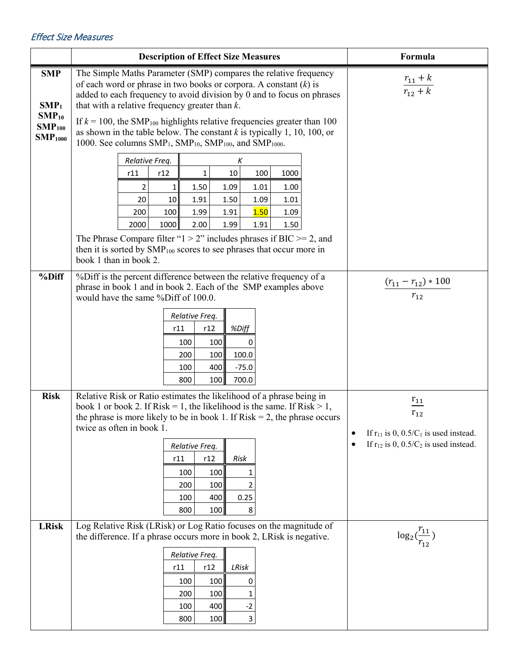#### Effect Size Measures

|                                           | <b>Description of Effect Size Measures</b>                                                                                                                                                                                                                                                                                                                       | Formula                                                                                                                          |
|-------------------------------------------|------------------------------------------------------------------------------------------------------------------------------------------------------------------------------------------------------------------------------------------------------------------------------------------------------------------------------------------------------------------|----------------------------------------------------------------------------------------------------------------------------------|
| <b>SMP</b><br>$SMP_1$<br>$SMP_{10}$       | The Simple Maths Parameter (SMP) compares the relative frequency<br>of each word or phrase in two books or corpora. A constant $(k)$ is<br>added to each frequency to avoid division by 0 and to focus on phrases<br>that with a relative frequency greater than $k$ .<br>If $k = 100$ , the SMP <sub>100</sub> highlights relative frequencies greater than 100 | $\frac{r_{11}+k}{r_{12}+k}$                                                                                                      |
| $SMP_{100}$<br><b>SMP</b> <sub>1000</sub> | as shown in the table below. The constant $k$ is typically 1, 10, 100, or<br>1000. See columns $SMP_1$ , $SMP_{10}$ , $SMP_{100}$ , and $SMP_{1000}$ .                                                                                                                                                                                                           |                                                                                                                                  |
|                                           | Relative Freq.<br>К<br>r11<br>r12<br>1<br>10<br>100<br>1000                                                                                                                                                                                                                                                                                                      |                                                                                                                                  |
|                                           | 2<br>1<br>1.50<br>1.09<br>1.01<br>1.00<br>20<br>10<br>1.91<br>1.50<br>1.09<br>1.01                                                                                                                                                                                                                                                                               |                                                                                                                                  |
|                                           | 1.50<br>100<br>1.99<br>200<br>1.91<br>1.09<br>2000<br>1000<br>2.00<br>1.99<br>1.91<br>1.50                                                                                                                                                                                                                                                                       |                                                                                                                                  |
|                                           | The Phrase Compare filter " $1 > 2$ " includes phrases if BIC $>= 2$ , and<br>then it is sorted by $SMP_{100}$ scores to see phrases that occur more in<br>book 1 than in book 2.                                                                                                                                                                                |                                                                                                                                  |
| %Diff                                     | %Diff is the percent difference between the relative frequency of a<br>phrase in book 1 and in book 2. Each of the SMP examples above<br>would have the same %Diff of 100.0.                                                                                                                                                                                     | $\frac{(r_{11}-r_{12})*100}{r_{12}}$                                                                                             |
|                                           | Relative Freq.<br>%Diff<br>r11<br>r12                                                                                                                                                                                                                                                                                                                            |                                                                                                                                  |
|                                           | 100<br>100<br>0<br>100.0<br>100<br>200                                                                                                                                                                                                                                                                                                                           |                                                                                                                                  |
|                                           | 100<br>400<br>$-75.0$<br>700.0<br>800<br>100                                                                                                                                                                                                                                                                                                                     |                                                                                                                                  |
| <b>Risk</b>                               | Relative Risk or Ratio estimates the likelihood of a phrase being in<br>book 1 or book 2. If Risk = 1, the likelihood is the same. If Risk $> 1$ ,<br>the phrase is more likely to be in book 1. If $Risk = 2$ , the phrase occurs<br>twice as often in book 1.                                                                                                  | $r_{11}$<br>$r_{12}$                                                                                                             |
|                                           | Relative Freq.<br>r12<br>Risk<br>r11                                                                                                                                                                                                                                                                                                                             | If $r_{11}$ is 0, 0.5/C <sub>1</sub> is used instead.<br>$\bullet$<br>If $r_{12}$ is 0, 0.5/C <sub>2</sub> is used instead.<br>٠ |
|                                           | 100<br>100<br>200<br>100<br>2<br>0.25<br>400<br>100<br>8<br>800<br>100                                                                                                                                                                                                                                                                                           |                                                                                                                                  |
| <b>LRisk</b>                              | Log Relative Risk (LRisk) or Log Ratio focuses on the magnitude of<br>the difference. If a phrase occurs more in book 2, LRisk is negative.                                                                                                                                                                                                                      | $\log_2(\frac{r_{11}}{r_{12}})$                                                                                                  |
|                                           | Relative Freq.<br>r11<br>r12<br>LRisk<br>100<br>100<br>0                                                                                                                                                                                                                                                                                                         |                                                                                                                                  |
|                                           | 200<br>100<br>400<br>100<br>$-2$<br>$\mathbf{3}$<br>800<br>100                                                                                                                                                                                                                                                                                                   |                                                                                                                                  |